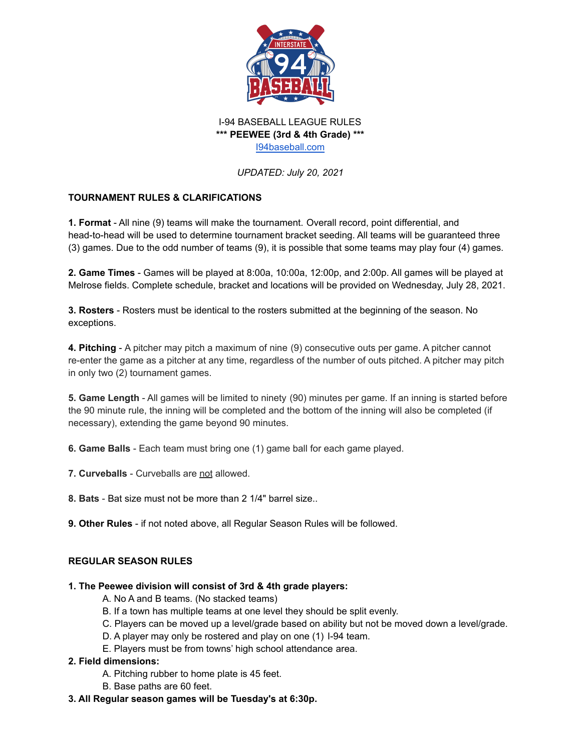

I-94 BASEBALL LEAGUE RULES **\*\*\* PEEWEE (3rd & 4th Grade) \*\*\*** [I94baseball.com](https://www.i94baseball.com/)

*UPDATED: July 20, 2021*

# **TOURNAMENT RULES & CLARIFICATIONS**

**1. Format** - All nine (9) teams will make the tournament. Overall record, point differential, and head-to-head will be used to determine tournament bracket seeding. All teams will be guaranteed three (3) games. Due to the odd number of teams (9), it is possible that some teams may play four (4) games.

**2. Game Times** - Games will be played at 8:00a, 10:00a, 12:00p, and 2:00p. All games will be played at Melrose fields. Complete schedule, bracket and locations will be provided on Wednesday, July 28, 2021.

**3. Rosters** - Rosters must be identical to the rosters submitted at the beginning of the season. No exceptions.

**4. Pitching** - A pitcher may pitch a maximum of nine (9) consecutive outs per game. A pitcher cannot re-enter the game as a pitcher at any time, regardless of the number of outs pitched. A pitcher may pitch in only two (2) tournament games.

**5. Game Length** - All games will be limited to ninety (90) minutes per game. If an inning is started before the 90 minute rule, the inning will be completed and the bottom of the inning will also be completed (if necessary), extending the game beyond 90 minutes.

**6. Game Balls** - Each team must bring one (1) game ball for each game played.

**7. Curveballs** - Curveballs are not allowed.

**8. Bats** - Bat size must not be more than 2 1/4" barrel size..

**9. Other Rules** - if not noted above, all Regular Season Rules will be followed.

#### **REGULAR SEASON RULES**

#### **1. The Peewee division will consist of 3rd & 4th grade players:**

- A. No A and B teams. (No stacked teams)
- B. If a town has multiple teams at one level they should be split evenly.
- C. Players can be moved up a level/grade based on ability but not be moved down a level/grade.
- D. A player may only be rostered and play on one (1) I-94 team.
- E. Players must be from towns' high school attendance area.

#### **2. Field dimensions:**

- A. Pitching rubber to home plate is 45 feet.
- B. Base paths are 60 feet.
- **3. All Regular season games will be Tuesday's at 6:30p.**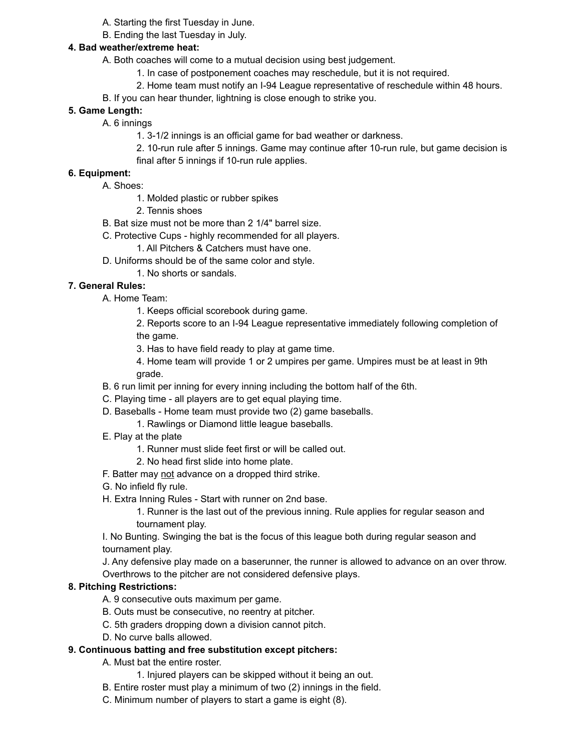- A. Starting the first Tuesday in June.
- B. Ending the last Tuesday in July.

#### **4. Bad weather/extreme heat:**

- A. Both coaches will come to a mutual decision using best judgement.
	- 1. In case of postponement coaches may reschedule, but it is not required.
	- 2. Home team must notify an I-94 League representative of reschedule within 48 hours.
- B. If you can hear thunder, lightning is close enough to strike you.

# **5. Game Length:**

- A. 6 innings
	- 1. 3-1/2 innings is an official game for bad weather or darkness.
	- 2. 10-run rule after 5 innings. Game may continue after 10-run rule, but game decision is final after 5 innings if 10-run rule applies.

### **6. Equipment:**

- A. Shoes:
	- 1. Molded plastic or rubber spikes
	- 2. Tennis shoes
- B. Bat size must not be more than 2 1/4" barrel size.
- C. Protective Cups highly recommended for all players.
	- 1. All Pitchers & Catchers must have one.
- D. Uniforms should be of the same color and style.
	- 1. No shorts or sandals.

# **7. General Rules:**

- A. Home Team:
	- 1. Keeps official scorebook during game.
	- 2. Reports score to an I-94 League representative immediately following completion of the game.
	- 3. Has to have field ready to play at game time.
	- 4. Home team will provide 1 or 2 umpires per game. Umpires must be at least in 9th grade.
- B. 6 run limit per inning for every inning including the bottom half of the 6th.
- C. Playing time all players are to get equal playing time.
- D. Baseballs Home team must provide two (2) game baseballs.
	- 1. Rawlings or Diamond little league baseballs.
- E. Play at the plate
	- 1. Runner must slide feet first or will be called out.
	- 2. No head first slide into home plate.
- F. Batter may not advance on a dropped third strike.
- G. No infield fly rule.
- H. Extra Inning Rules Start with runner on 2nd base.
	- 1. Runner is the last out of the previous inning. Rule applies for regular season and tournament play.
- I. No Bunting. Swinging the bat is the focus of this league both during regular season and tournament play.

J. Any defensive play made on a baserunner, the runner is allowed to advance on an over throw. Overthrows to the pitcher are not considered defensive plays.

#### **8. Pitching Restrictions:**

- A. 9 consecutive outs maximum per game.
- B. Outs must be consecutive, no reentry at pitcher.
- C. 5th graders dropping down a division cannot pitch.
- D. No curve balls allowed.

# **9. Continuous batting and free substitution except pitchers:**

- A. Must bat the entire roster.
	- 1. Injured players can be skipped without it being an out.
- B. Entire roster must play a minimum of two (2) innings in the field.
- C. Minimum number of players to start a game is eight (8).